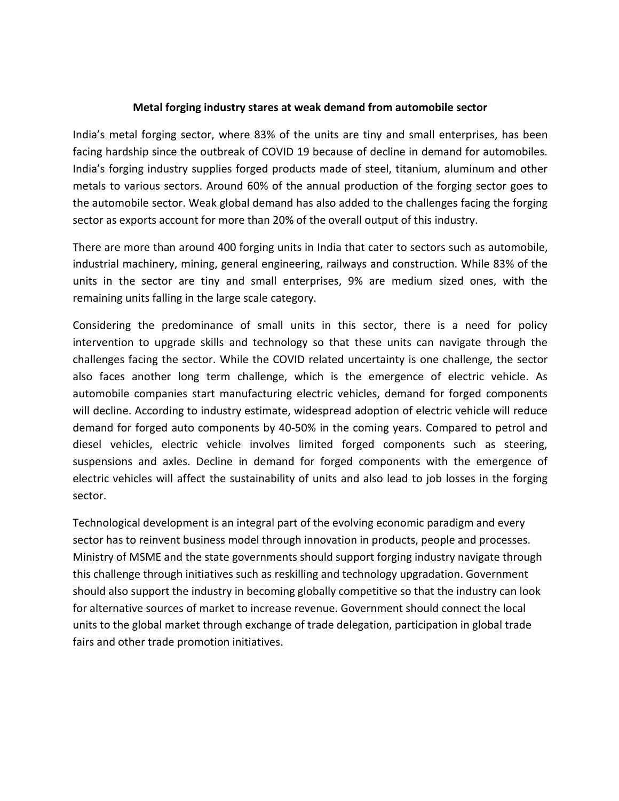## **Metal forging industry stares at weak demand from automobile sector**

India's metal forging sector, where 83% of the units are tiny and small enterprises, has been facing hardship since the outbreak of COVID 19 because of decline in demand for automobiles. India's forging industry supplies forged products made of steel, titanium, aluminum and other metals to various sectors. Around 60% of the annual production of the forging sector goes to the automobile sector. Weak global demand has also added to the challenges facing the forging sector as exports account for more than 20% of the overall output of this industry.

There are more than around 400 forging units in India that cater to sectors such as automobile, industrial machinery, mining, general engineering, railways and construction. While 83% of the units in the sector are tiny and small enterprises, 9% are medium sized ones, with the remaining units falling in the large scale category.

Considering the predominance of small units in this sector, there is a need for policy intervention to upgrade skills and technology so that these units can navigate through the challenges facing the sector. While the COVID related uncertainty is one challenge, the sector also faces another long term challenge, which is the emergence of electric vehicle. As automobile companies start manufacturing electric vehicles, demand for forged components will decline. According to industry estimate, widespread adoption of electric vehicle will reduce demand for forged auto components by 40-50% in the coming years. Compared to petrol and diesel vehicles, electric vehicle involves limited forged components such as steering, suspensions and axles. Decline in demand for forged components with the emergence of electric vehicles will affect the sustainability of units and also lead to job losses in the forging sector.

Technological development is an integral part of the evolving economic paradigm and every sector has to reinvent business model through innovation in products, people and processes. Ministry of MSME and the state governments should support forging industry navigate through this challenge through initiatives such as reskilling and technology upgradation. Government should also support the industry in becoming globally competitive so that the industry can look for alternative sources of market to increase revenue. Government should connect the local units to the global market through exchange of trade delegation, participation in global trade fairs and other trade promotion initiatives.